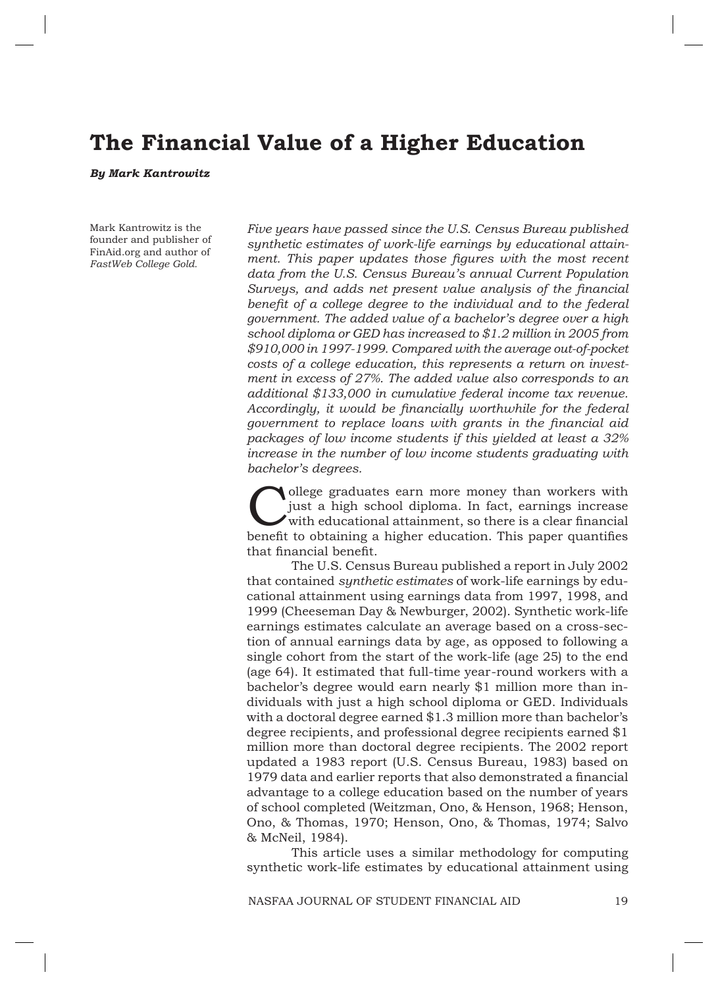# **The Financial Value of a Higher Education**

*By Mark Kantrowitz*

Mark Kantrowitz is the founder and publisher of FinAid.org and author of *FastWeb College Gold.*

*Five years have passed since the U.S. Census Bureau published synthetic estimates of work-life earnings by educational attain*ment. This paper updates those figures with the most recent *data from the U.S. Census Bureau's annual Current Population Surveys, and adds net present value analysis of the financial* benefit of a college degree to the individual and to the federal *government. The added value of a bachelor's degree over a high school diploma or GED has increased to \$1.2 million in 2005 from \$910,000 in 1997-1999. Compared with the average out-of-pocket costs of a college education, this represents a return on investment in excess of 27%. The added value also corresponds to an additional \$133,000 in cumulative federal income tax revenue.*  Accordingly, it would be financially worthwhile for the federal *government to replace loans with grants in the financial aid packages of low income students if this yielded at least a 32% increase in the number of low income students graduating with bachelor's degrees.* 

ollege graduates earn more money than workers with just a high school diploma. In fact, earnings increase  $\sqrt{\frac{1}{10}}$  with educational attainment, so there is a clear financial benefit to obtaining a higher education. This paper quantifies that financial benefit.

The U.S. Census Bureau published a report in July 2002 that contained *synthetic estimates* of work-life earnings by educational attainment using earnings data from 1997, 1998, and 1999 (Cheeseman Day & Newburger, 2002). Synthetic work-life earnings estimates calculate an average based on a cross-section of annual earnings data by age, as opposed to following a single cohort from the start of the work-life (age 25) to the end (age 64). It estimated that full-time year-round workers with a bachelor's degree would earn nearly \$1 million more than individuals with just a high school diploma or GED. Individuals with a doctoral degree earned \$1.3 million more than bachelor's degree recipients, and professional degree recipients earned \$1 million more than doctoral degree recipients. The 2002 report updated a 1983 report (U.S. Census Bureau, 1983) based on 1979 data and earlier reports that also demonstrated a financial advantage to a college education based on the number of years of school completed (Weitzman, Ono, & Henson, 1968; Henson, Ono, & Thomas, 1970; Henson, Ono, & Thomas, 1974; Salvo & McNeil, 1984).

This article uses a similar methodology for computing synthetic work-life estimates by educational attainment using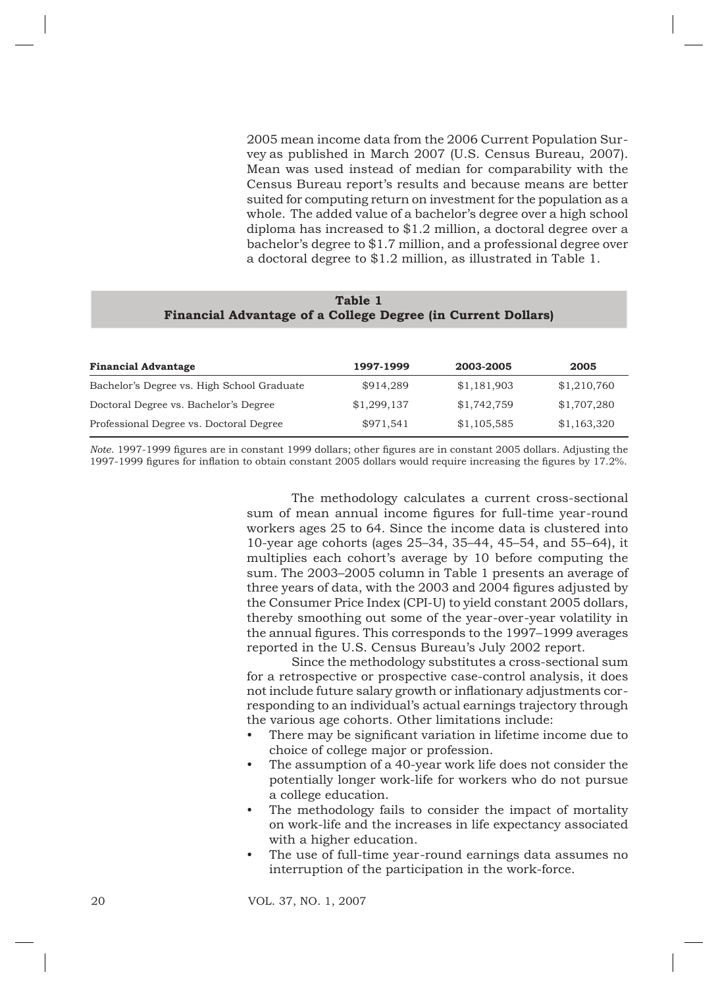2005 mean income data from the 2006 Current Population Survey as published in March 2007 (U.S. Census Bureau, 2007). Mean was used instead of median for comparability with the Census Bureau report's results and because means are better suited for computing return on investment for the population as a whole. The added value of a bachelor's degree over a high school diploma has increased to \$1.2 million, a doctoral degree over a bachelor's degree to \$1.7 million, and a professional degree over a doctoral degree to \$1.2 million, as illustrated in Table 1.

| Table 1                                                             |  |  |  |  |  |  |  |
|---------------------------------------------------------------------|--|--|--|--|--|--|--|
| <b>Financial Advantage of a College Degree (in Current Dollars)</b> |  |  |  |  |  |  |  |

| <b>Financial Advantage</b>                 | 1997-1999   | 2003-2005   | 2005        |
|--------------------------------------------|-------------|-------------|-------------|
| Bachelor's Degree vs. High School Graduate | \$914.289   | \$1,181,903 | \$1,210,760 |
| Doctoral Degree vs. Bachelor's Degree      | \$1,299,137 | \$1,742,759 | \$1,707,280 |
| Professional Degree vs. Doctoral Degree    | \$971,541   | \$1,105,585 | \$1,163,320 |

*Note*. 1997-1999 figures are in constant 1999 dollars; other figures are in constant 2005 dollars. Adjusting the 1997-1999 figures for inflation to obtain constant 2005 dollars would require increasing the figures by 17.2%.

> The methodology calculates a current cross-sectional sum of mean annual income figures for full-time year-round workers ages 25 to 64. Since the income data is clustered into 10-year age cohorts (ages 25–34, 35–44, 45–54, and 55–64), it multiplies each cohort's average by 10 before computing the sum. The 2003–2005 column in Table 1 presents an average of three years of data, with the 2003 and 2004 figures adjusted by the Consumer Price Index (CPI-U) to yield constant 2005 dollars, thereby smoothing out some of the year-over-year volatility in the annual figures. This corresponds to the 1997–1999 averages reported in the U.S. Census Bureau's July 2002 report.

> Since the methodology substitutes a cross-sectional sum for a retrospective or prospective case-control analysis, it does not include future salary growth or inflationary adjustments corresponding to an individual's actual earnings trajectory through the various age cohorts. Other limitations include:

- There may be significant variation in lifetime income due to choice of college major or profession. •
- The assumption of a 40-year work life does not consider the potentially longer work-life for workers who do not pursue a college education. •
- The methodology fails to consider the impact of mortality on work-life and the increases in life expectancy associated with a higher education. •
- The use of full-time year-round earnings data assumes no interruption of the participation in the work-force. •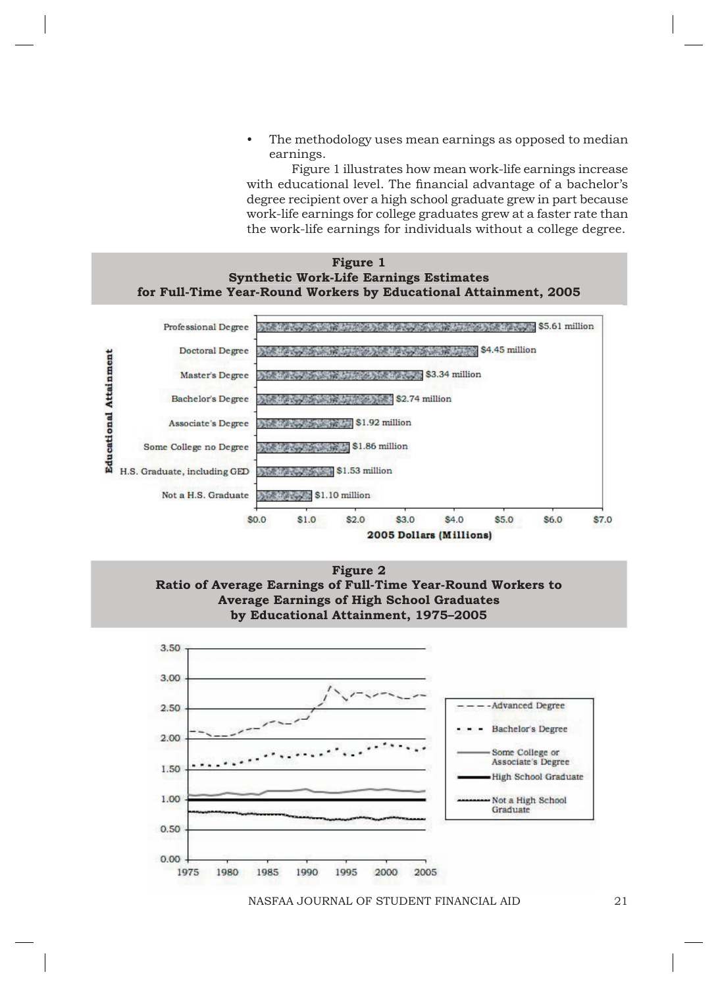The methodology uses mean earnings as opposed to median earnings. •

Figure 1 illustrates how mean work-life earnings increase with educational level. The financial advantage of a bachelor's degree recipient over a high school graduate grew in part because work-life earnings for college graduates grew at a faster rate than the work-life earnings for individuals without a college degree.





**Figure 2 Ratio of Average Earnings of Full-Time Year-Round Workers to Average Earnings of High School Graduates by Educational Attainment, 1975–2005**

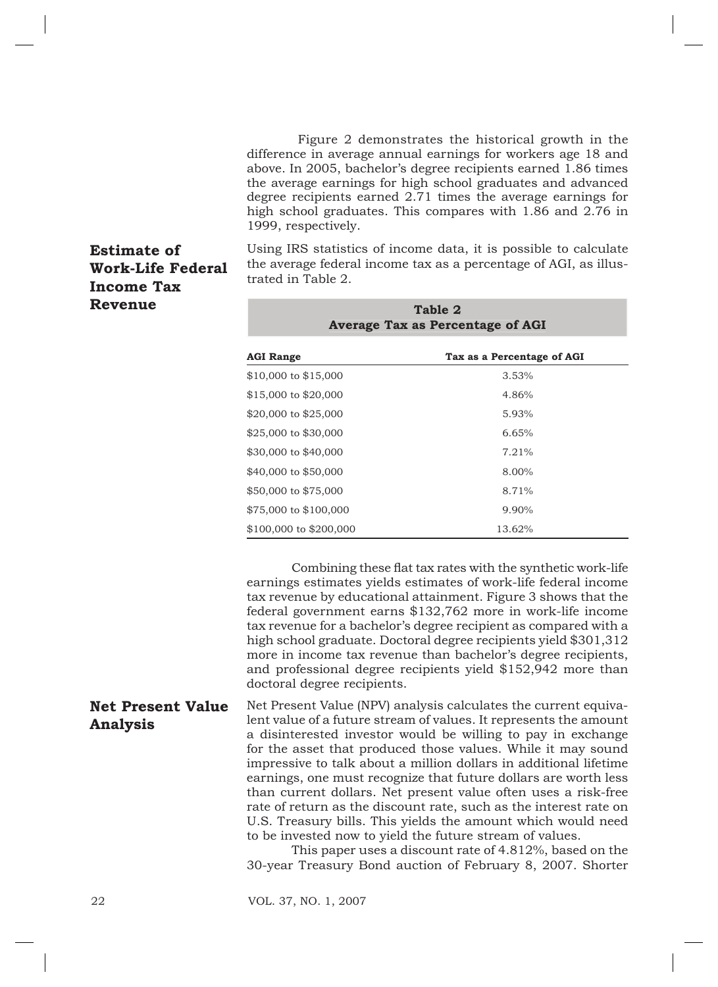Figure 2 demonstrates the historical growth in the difference in average annual earnings for workers age 18 and above. In 2005, bachelor's degree recipients earned 1.86 times the average earnings for high school graduates and advanced degree recipients earned 2.71 times the average earnings for high school graduates. This compares with 1.86 and 2.76 in 1999, respectively.

## **Estimate of Work-Life Federal Income Tax Revenue**

Using IRS statistics of income data, it is possible to calculate the average federal income tax as a percentage of AGI, as illustrated in Table 2.

| Table 2<br><b>Average Tax as Percentage of AGI</b> |                            |  |  |  |  |  |
|----------------------------------------------------|----------------------------|--|--|--|--|--|
| <b>AGI Range</b>                                   | Tax as a Percentage of AGI |  |  |  |  |  |
| \$10,000 to \$15,000                               | 3.53%                      |  |  |  |  |  |
| \$15,000 to \$20,000                               | 4.86%                      |  |  |  |  |  |
| \$20,000 to \$25,000                               | 5.93%                      |  |  |  |  |  |
| \$25,000 to \$30,000                               | 6.65%                      |  |  |  |  |  |
| \$30,000 to \$40,000                               | 7.21%                      |  |  |  |  |  |
| \$40,000 to \$50,000                               | 8.00%                      |  |  |  |  |  |
| \$50,000 to \$75,000                               | 8.71%                      |  |  |  |  |  |
| \$75,000 to \$100,000                              | 9.90%                      |  |  |  |  |  |
| \$100,000 to \$200,000                             | 13.62%                     |  |  |  |  |  |

Combining these flat tax rates with the synthetic work-life earnings estimates yields estimates of work-life federal income tax revenue by educational attainment. Figure 3 shows that the federal government earns \$132,762 more in work-life income tax revenue for a bachelor's degree recipient as compared with a high school graduate. Doctoral degree recipients yield \$301,312 more in income tax revenue than bachelor's degree recipients, and professional degree recipients yield \$152,942 more than doctoral degree recipients.

Net Present Value (NPV) analysis calculates the current equivalent value of a future stream of values. It represents the amount a disinterested investor would be willing to pay in exchange for the asset that produced those values. While it may sound impressive to talk about a million dollars in additional lifetime earnings, one must recognize that future dollars are worth less than current dollars. Net present value often uses a risk-free rate of return as the discount rate, such as the interest rate on U.S. Treasury bills. This yields the amount which would need to be invested now to yield the future stream of values. **Net Present Value Analysis**

> This paper uses a discount rate of 4.812%, based on the 30-year Treasury Bond auction of February 8, 2007. Shorter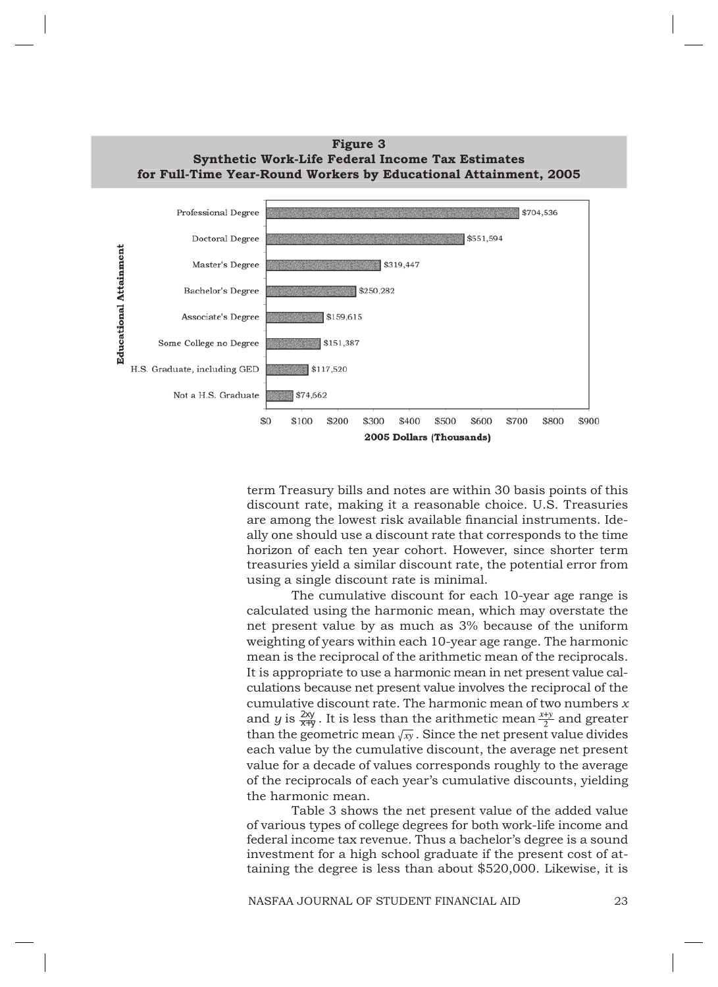

term Treasury bills and notes are within 30 basis points of this discount rate, making it a reasonable choice. U.S. Treasuries are among the lowest risk available financial instruments. Ideally one should use a discount rate that corresponds to the time horizon of each ten year cohort. However, since shorter term treasuries yield a similar discount rate, the potential error from using a single discount rate is minimal.

The cumulative discount for each 10-year age range is calculated using the harmonic mean, which may overstate the net present value by as much as 3% because of the uniform weighting of years within each 10-year age range. The harmonic mean is the reciprocal of the arithmetic mean of the reciprocals. It is appropriate to use a harmonic mean in net present value calculations because net present value involves the reciprocal of the cumulative discount rate. The harmonic mean of two numbers *x* and *y* is  $\frac{2xy}{x+y}$ . It is less than the arithmetic mean  $\frac{x+y}{2}$  and greater than the geometric mean  $\sqrt{xy}$ . Since the net present value divides each value by the cumulative discount, the average net present value for a decade of values corresponds roughly to the average of the reciprocals of each year's cumulative discounts, yielding the harmonic mean.

Table 3 shows the net present value of the added value of various types of college degrees for both work-life income and federal income tax revenue. Thus a bachelor's degree is a sound investment for a high school graduate if the present cost of attaining the degree is less than about \$520,000. Likewise, it is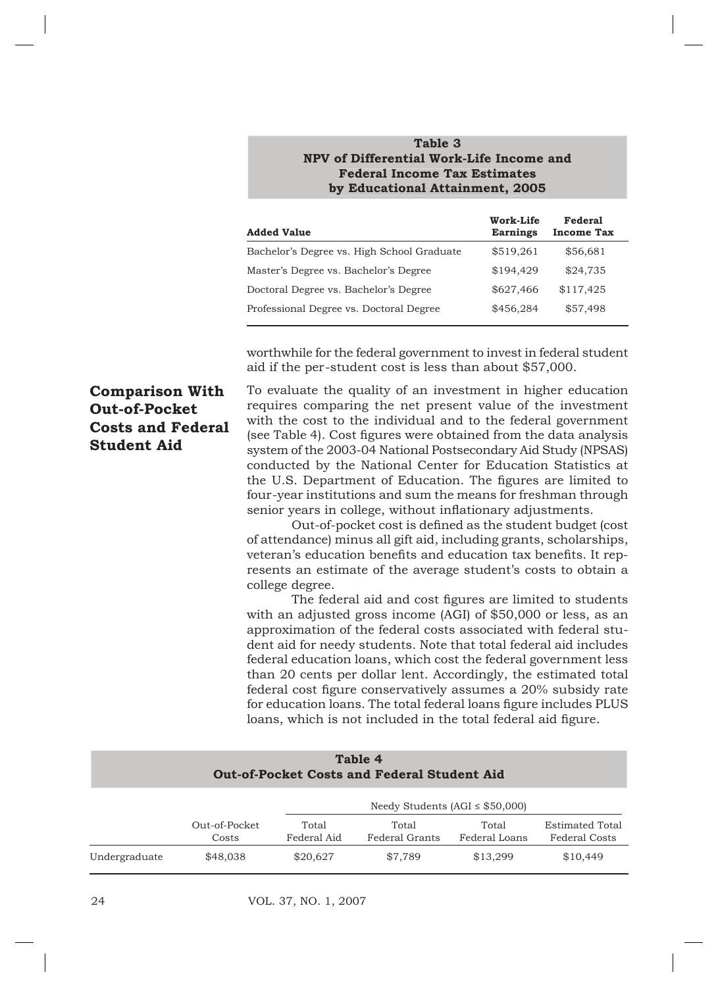#### **Table 3 Table NPV of Differential Work-Life Income and and Federal Income Tax Estimates Estimates by Educational Attainment, 2005**

| <b>Added Value</b>                         | Work-Life<br><b>Earnings</b> | <b>Federal</b><br><b>Income Tax</b> |
|--------------------------------------------|------------------------------|-------------------------------------|
| Bachelor's Degree vs. High School Graduate | \$519,261                    | \$56,681                            |
| Master's Degree vs. Bachelor's Degree      | \$194.429                    | \$24,735                            |
| Doctoral Degree vs. Bachelor's Degree      | \$627,466                    | \$117,425                           |
| Professional Degree vs. Doctoral Degree    | \$456,284                    | \$57,498                            |

worthwhile for the federal government to invest in federal student aid if the per-student cost is less than about \$57,000.

# **Comparison With Out-of-Pocket Costs and Federal Student Aid**

To evaluate the quality of an investment in higher education requires comparing the net present value of the investment with the cost to the individual and to the federal government (see Table 4). Cost figures were obtained from the data analysis system of the 2003-04 National Postsecondary Aid Study (NPSAS) conducted by the National Center for Education Statistics at the U.S. Department of Education. The figures are limited to four-year institutions and sum the means for freshman through senior years in college, without inflationary adjustments.

Out-of-pocket cost is defined as the student budget (cost of attendance) minus all gift aid, including grants, scholarships, veteran's education benefits and education tax benefits. It represents an estimate of the average student's costs to obtain a college degree.

The federal aid and cost figures are limited to students with an adjusted gross income (AGI) of \$50,000 or less, as an approximation of the federal costs associated with federal student aid for needy students. Note that total federal aid includes federal education loans, which cost the federal government less than 20 cents per dollar lent. Accordingly, the estimated total federal cost figure conservatively assumes a 20% subsidy rate for education loans. The total federal loans figure includes PLUS loans, which is not included in the total federal aid figure.

| Table 4<br><b>Out-of-Pocket Costs and Federal Student Aid</b> |                        |                                     |                         |                        |                                                |  |  |  |
|---------------------------------------------------------------|------------------------|-------------------------------------|-------------------------|------------------------|------------------------------------------------|--|--|--|
|                                                               |                        | Needy Students (AGI $\le$ \$50,000) |                         |                        |                                                |  |  |  |
|                                                               | Out-of-Pocket<br>Costs | Total<br>Federal Aid                | Total<br>Federal Grants | Total<br>Federal Loans | <b>Estimated Total</b><br><b>Federal Costs</b> |  |  |  |
| Undergraduate                                                 | \$48,038               | \$20,627                            | \$7.789                 | \$13,299               | \$10,449                                       |  |  |  |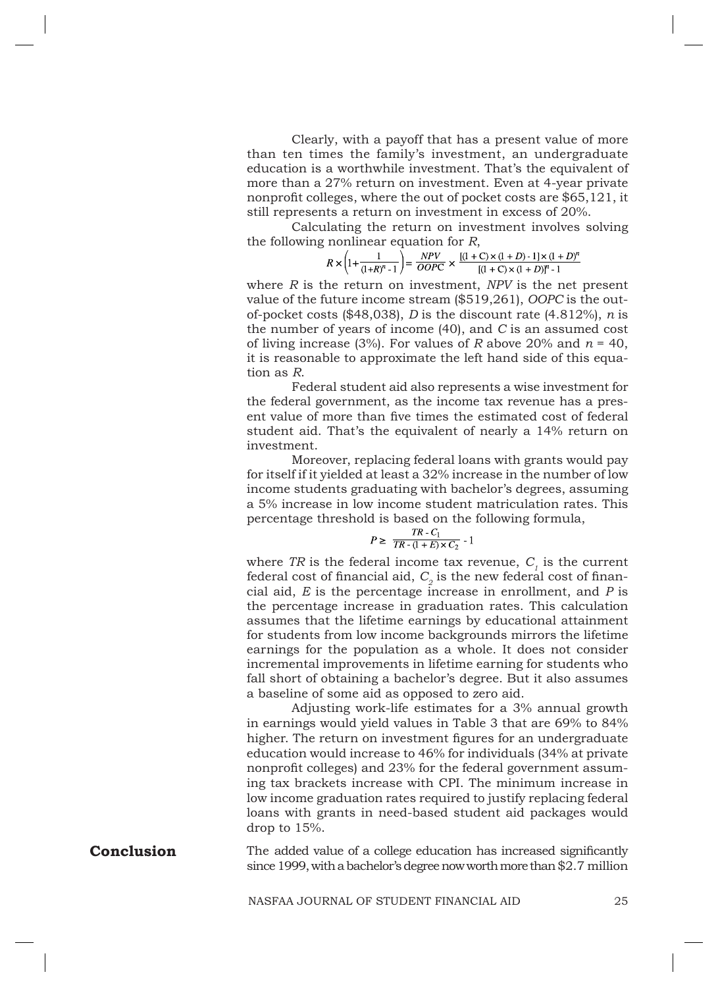Clearly, with a payoff that has a present value of more than ten times the family's investment, an undergraduate education is a worthwhile investment. That's the equivalent of more than a 27% return on investment. Even at 4-year private nonprofit colleges, where the out of pocket costs are  $$65,121$ , it still represents a return on investment in excess of 20%.

Calculating the return on investment involves solving the following nonlinear equation for *R*,

$$
R \times \left(1 + \frac{1}{(1+R)^n-1}\right) = \frac{NPV}{OOPC} \times \frac{[(1+C) \times (1+D) -1] \times (1+D)^n}{[(1+C) \times (1+D)]^n-1}
$$

where *R* is the return on investment, *NPV* is the net present value of the future income stream (\$519,261), *OOPC* is the outof-pocket costs (\$48,038), *D* is the discount rate (4.812%), *n* is the number of years of income (40), and *C* is an assumed cost of living increase (3%). For values of *R* above 20% and  $n = 40$ , it is reasonable to approximate the left hand side of this equation as *R*.

Federal student aid also represents a wise investment for the federal government, as the income tax revenue has a present value of more than five times the estimated cost of federal student aid. That's the equivalent of nearly a 14% return on investment.

Moreover, replacing federal loans with grants would pay for itself if it yielded at least a 32% increase in the number of low income students graduating with bachelor's degrees, assuming a 5% increase in low income student matriculation rates. This percentage threshold is based on the following formula,

$$
P \geq \frac{TR - C_1}{TR - (1 + E) \times C_2} - 1
$$

where TR is the federal income tax revenue,  $C<sub>i</sub>$  is the current federal cost of financial aid,  $C_2$  is the new federal cost of financial aid, *E* is the percentage increase in enrollment, and *P* is the percentage increase in graduation rates. This calculation assumes that the lifetime earnings by educational attainment for students from low income backgrounds mirrors the lifetime earnings for the population as a whole. It does not consider incremental improvements in lifetime earning for students who fall short of obtaining a bachelor's degree. But it also assumes a baseline of some aid as opposed to zero aid.

Adjusting work-life estimates for a 3% annual growth in earnings would yield values in Table 3 that are 69% to 84% higher. The return on investment figures for an undergraduate education would increase to 46% for individuals (34% at private nonprofit colleges) and 23% for the federal government assuming tax brackets increase with CPI. The minimum increase in low income graduation rates required to justify replacing federal loans with grants in need-based student aid packages would drop to 15%.

The added value of a college education has increased significantly since 1999, with a bachelor's degree now worth more than \$2.7 million **Conclusion**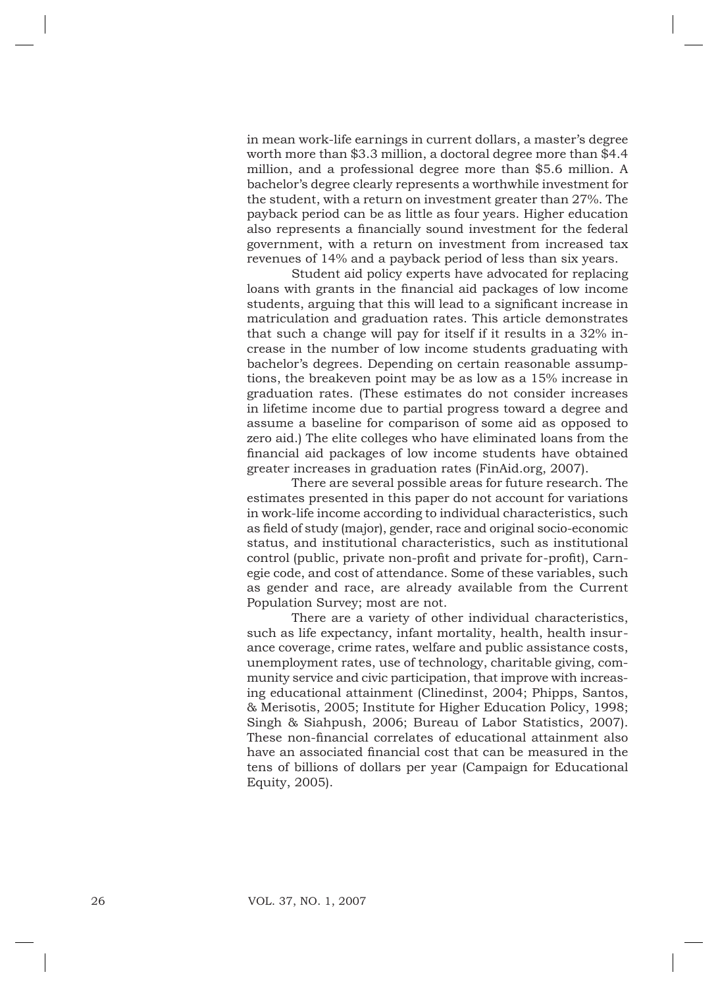in mean work-life earnings in current dollars, a master's degree worth more than \$3.3 million, a doctoral degree more than \$4.4 million, and a professional degree more than \$5.6 million. A bachelor's degree clearly represents a worthwhile investment for the student, with a return on investment greater than 27%. The payback period can be as little as four years. Higher education also represents a financially sound investment for the federal government, with a return on investment from increased tax revenues of 14% and a payback period of less than six years.

Student aid policy experts have advocated for replacing loans with grants in the financial aid packages of low income students, arguing that this will lead to a significant increase in matriculation and graduation rates. This article demonstrates that such a change will pay for itself if it results in a 32% increase in the number of low income students graduating with bachelor's degrees. Depending on certain reasonable assumptions, the breakeven point may be as low as a 15% increase in graduation rates. (These estimates do not consider increases in lifetime income due to partial progress toward a degree and assume a baseline for comparison of some aid as opposed to zero aid.) The elite colleges who have eliminated loans from the financial aid packages of low income students have obtained greater increases in graduation rates (FinAid.org, 2007).

There are several possible areas for future research. The estimates presented in this paper do not account for variations in work-life income according to individual characteristics, such as field of study (major), gender, race and original socio-economic status, and institutional characteristics, such as institutional control (public, private non-profit and private for-profit), Carnegie code, and cost of attendance. Some of these variables, such as gender and race, are already available from the Current Population Survey; most are not.

There are a variety of other individual characteristics, such as life expectancy, infant mortality, health, health insurance coverage, crime rates, welfare and public assistance costs, unemployment rates, use of technology, charitable giving, community service and civic participation, that improve with increasing educational attainment (Clinedinst, 2004; Phipps, Santos, & Merisotis, 2005; Institute for Higher Education Policy, 1998; Singh & Siahpush, 2006; Bureau of Labor Statistics, 2007). These non-financial correlates of educational attainment also have an associated financial cost that can be measured in the tens of billions of dollars per year (Campaign for Educational Equity, 2005).